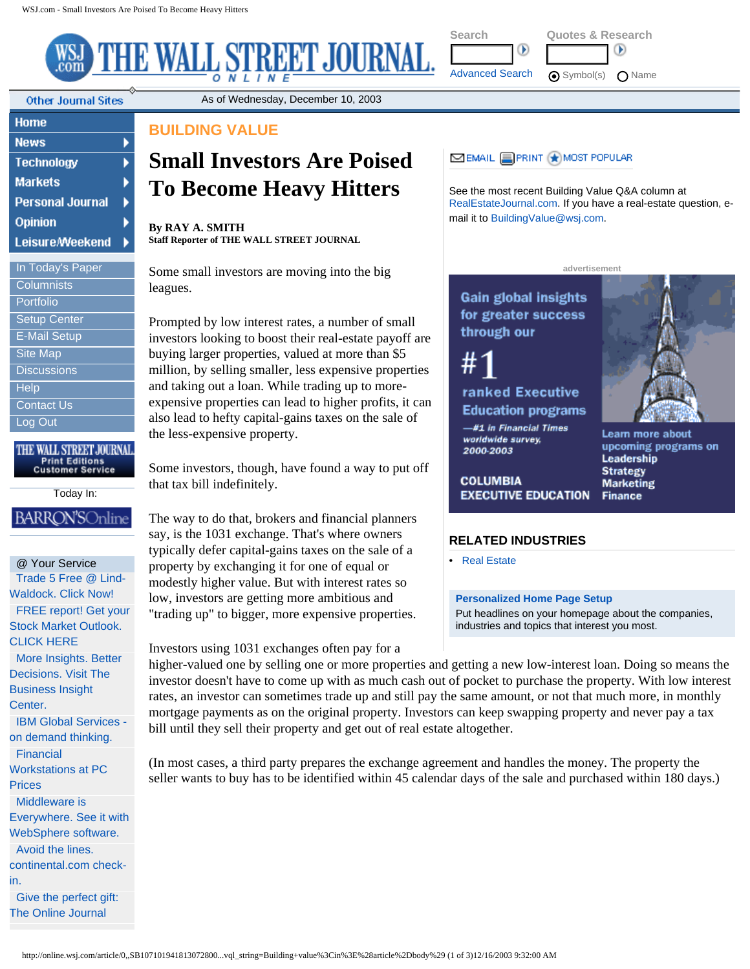×

¥ K

Þ

THE WALL STREET JOURNAL.

**Other Journal Sites** 

Home

| <b>News</b>             |
|-------------------------|
| <b>Technology</b>       |
| <b>Markets</b>          |
| <b>Personal Journal</b> |
| Opinion                 |
| <b>Leisure/Weekend</b>  |
|                         |
| In Today's Paper        |
| Columnists              |
| Portfolio               |

[Setup Center](http://online.wsj.com/setup/setup_center_mainpage?page=Setup+Center) [E-Mail Setup](http://online.wsj.com/user-cgi-bin/searchUser.pl?action=emailalert) [Site Map](http://online.wsj.com/public/site_map?page=Site+Map) **[Discussions](http://online.wsj.com/discussions?page=Discussions) [Help](http://online.wsj.com/wsjhelp/center)** [Contact Us](http://online.wsj.com/public/contact_us?page=Contact+Us)

[Log Out](http://online.wsj.com/logout?page=Log+Out)

THE WALL STREET JOURNAL **Print Editions<br>Customer Service** 

Today In:

## **BARRON'SOnlin**

@ Your Service [Trade 5 Free @ Lind-](http://ad.doubleclick.net/clk;5786381;8144333;p?http://www.lind-waldock.com/edu/ed_5free.cgi)[Waldock. Click Now!](http://ad.doubleclick.net/clk;5786381;8144333;p?http://www.lind-waldock.com/edu/ed_5free.cgi)  [FREE report! Get your](http://ad.doubleclick.net/clk;5653368;8221774;s?http://pcg.fisherinvestments.com/0602cap/letter.asp?KC=%epid!_%erid!_%eaid!&country=USleclick.net/clk;5035371;7786947;x?http://pcg.fisherinvestments.com/0602cap/usletter.asp?KC=%epid!_%erid!_%eaid!_01) [Stock Market Outlook.](http://ad.doubleclick.net/clk;5653368;8221774;s?http://pcg.fisherinvestments.com/0602cap/letter.asp?KC=%epid!_%erid!_%eaid!&country=USleclick.net/clk;5035371;7786947;x?http://pcg.fisherinvestments.com/0602cap/usletter.asp?KC=%epid!_%erid!_%eaid!_01)  [CLICK HERE](http://ad.doubleclick.net/clk;5653368;8221774;s?http://pcg.fisherinvestments.com/0602cap/letter.asp?KC=%epid!_%erid!_%eaid!&country=USleclick.net/clk;5035371;7786947;x?http://pcg.fisherinvestments.com/0602cap/usletter.asp?KC=%epid!_%erid!_%eaid!_01)  [More Insights. Better](http://wsj.com/ad/businessinsight) [Decisions. Visit The](http://wsj.com/ad/businessinsight)  [Business Insight](http://wsj.com/ad/businessinsight)  [Center.](http://wsj.com/ad/businessinsight) [IBM Global Services](http://ad.doubleclick.net/clk;6213481;8439910;k?http://www.ibm.com/services/ondemand/)  [on demand thinking.](http://ad.doubleclick.net/clk;6213481;8439910;k?http://www.ibm.com/services/ondemand/)  [Financial](http://blmkt.dsi-enews.net/hp/?dsid=7856&typ=C)  [Workstations at PC](http://blmkt.dsi-enews.net/hp/?dsid=7856&typ=C)  **Prices** [Middleware is](http://ad.doubleclick.net/clk;6508530;8578944;x?http://www.ibm.com/software/info/pros/websphere/index.jsp) [Everywhere. See it with](http://ad.doubleclick.net/clk;6508530;8578944;x?http://www.ibm.com/software/info/pros/websphere/index.jsp) [WebSphere software.](http://ad.doubleclick.net/clk;6508530;8578944;x?http://www.ibm.com/software/info/pros/websphere/index.jsp)  [Avoid the lines.](http://ad.doubleclick.net/clk;6444408;8556751;s)  [continental.com check](http://ad.doubleclick.net/clk;6444408;8556751;s)[in.](http://ad.doubleclick.net/clk;6444408;8556751;s) 

[Give the perfect gift:](http://wsj.com/WSJgifts/)  [The Online Journal](http://wsj.com/WSJgifts/) 

## **BUILDING VALUE**

# **Small Investors Are Poised To Become Heavy Hitters**

As of Wednesday, December 10, 2003

**By RAY A. SMITH Staff Reporter of THE WALL STREET JOURNAL**

Some small investors are moving into the big leagues.

Prompted by low interest rates, a number of small investors looking to boost their real-estate payoff are buying larger properties, valued at more than \$5 million, by selling smaller, less expensive properties and taking out a loan. While trading up to moreexpensive properties can lead to higher profits, it can also lead to hefty capital-gains taxes on the sale of the less-expensive property.

Some investors, though, have found a way to put off that tax bill indefinitely.

The way to do that, brokers and financial planners say, is the 1031 exchange. That's where owners typically defer capital-gains taxes on the sale of a property by exchanging it for one of equal or modestly higher value. But with interest rates so low, investors are getting more ambitious and "trading up" to bigger, more expensive properties.

Investors using 1031 exchanges often pay for a

higher-valued one by selling one or more properties and getting a new low-interest loan. Doing so means the investor doesn't have to come up with as much cash out of pocket to purchase the property. With low interest rates, an investor can sometimes trade up and still pay the same amount, or not that much more, in monthly mortgage payments as on the original property. Investors can keep swapping property and never pay a tax bill until they sell their property and get out of real estate altogether.

(In most cases, a third party prepares the exchange agreement and handles the money. The property the seller wants to buy has to be identified within 45 calendar days of the sale and purchased within 180 days.)



**[S](http://online.wsj.com/home)earch Quotes & Research**

œ

[Advanced Search](http://online.wsj.com/advanced_search) <br> **a** Symbol(s) <br> **C** Name

See the most recent Building Value Q&A column at [RealEstateJournal.com](http://realestatejournal.com/). If you have a real-estate question, email it to [BuildingValue@wsj.com.](mailto:BuildingValue@wsj.com)

 $\circ$ 

**advertisement**

Gain global insights for greater success through our

ranked Executive **Education programs** 

-#1 in Financial Times worldwide survey, 2000-2003

**COLUMBIA EXECUTIVE EDUCATION** 



Learn more about upcoming programs on Leadership **Strategy Marketing Finance** 

### **RELATED INDUSTRIES**

• [Real Estate](http://online.wsj.com/industry/0,,DRL,00.html)

#### **[Personalized Home Page Setup](http://online.wsj.com/setup/setup_center_mainpage)**

Put headlines on your homepage about the companies, industries and topics that interest you most.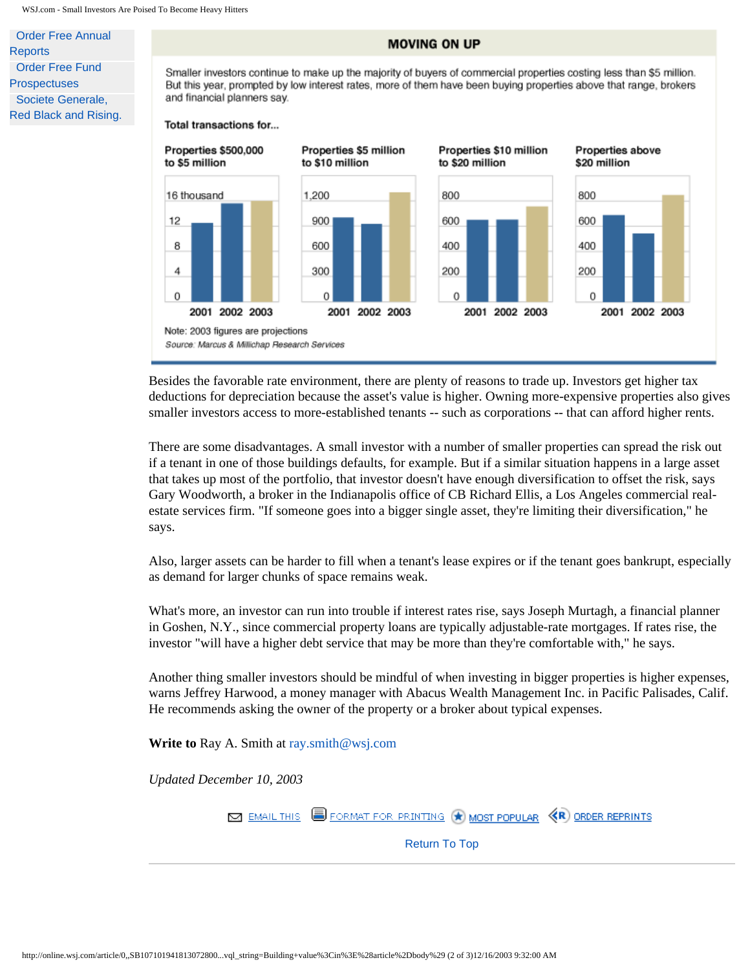[Order Free Annual](http://ad.doubleclick.net/clk;5405473;6853491;p?http://wsjie.ar.wilink.com/asp/WSJ3_search_eng.asp)  **[Reports](http://ad.doubleclick.net/clk;5405473;6853491;p?http://wsjie.ar.wilink.com/asp/WSJ3_search_eng.asp)** [Order Free Fund](http://ad.doubleclick.net/clk;5405500;-2;p?http://wsjie.fundinfo.wilink.com/asp/F102_search_eng.asp)  **[Prospectuses](http://ad.doubleclick.net/clk;5405500;-2;p?http://wsjie.fundinfo.wilink.com/asp/F102_search_eng.asp)** [Societe Generale,](http://ad.fr.doubleclick.net/clk;6710740;8648848;w?http://www.socgen.com/corporate/index.html) [Red Black and Rising.](http://ad.fr.doubleclick.net/clk;6710740;8648848;w?http://www.socgen.com/corporate/index.html) 

#### **MOVING ON UP**

Smaller investors continue to make up the majority of buyers of commercial properties costing less than \$5 million. But this year, prompted by low interest rates, more of them have been buying properties above that range, brokers and financial planners say.

#### Total transactions for...



Besides the favorable rate environment, there are plenty of reasons to trade up. Investors get higher tax deductions for depreciation because the asset's value is higher. Owning more-expensive properties also gives smaller investors access to more-established tenants -- such as corporations -- that can afford higher rents.

There are some disadvantages. A small investor with a number of smaller properties can spread the risk out if a tenant in one of those buildings defaults, for example. But if a similar situation happens in a large asset that takes up most of the portfolio, that investor doesn't have enough diversification to offset the risk, says Gary Woodworth, a broker in the Indianapolis office of CB Richard Ellis, a Los Angeles commercial realestate services firm. "If someone goes into a bigger single asset, they're limiting their diversification," he says.

Also, larger assets can be harder to fill when a tenant's lease expires or if the tenant goes bankrupt, especially as demand for larger chunks of space remains weak.

What's more, an investor can run into trouble if interest rates rise, says Joseph Murtagh, a financial planner in Goshen, N.Y., since commercial property loans are typically adjustable-rate mortgages. If rates rise, the investor "will have a higher debt service that may be more than they're comfortable with," he says.

Another thing smaller investors should be mindful of when investing in bigger properties is higher expenses, warns Jeffrey Harwood, a money manager with Abacus Wealth Management Inc. in Pacific Palisades, Calif. He recommends asking the owner of the property or a broker about typical expenses.

**Write to** Ray A. Smith at [ray.smith@wsj.com](mailto:ray.smith@wsj.com)

*Updated December 10, 2003*

FORMATFOR PRINTING (\*) MOST POPULAR **KR** ORDER REPRINTS **MAIL THIS** 

[Return To Top](#page-2-0)